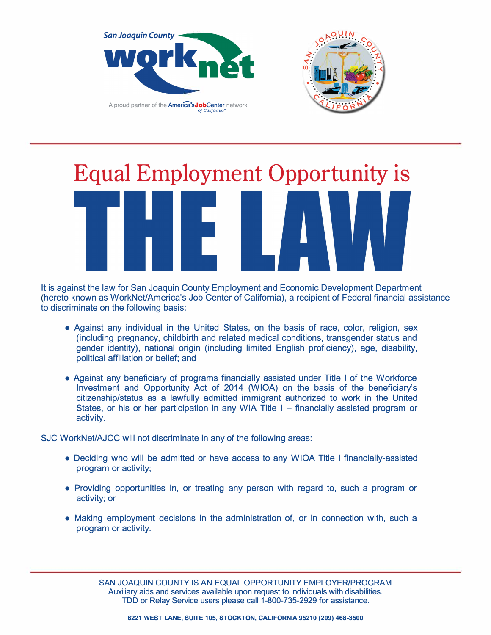



## **Equal Employment Opportunity is**

It is against the law for San Joaquin County Employment and Economic Development Department (hereto known as WorkNet/America's Job Center of California), a recipient of Federal financial assistance to discriminate on the following basis:

- Against any individual in the United States, on the basis of race, color, religion, sex (including pregnancy, childbirth and related medical conditions, transgender status and gender identity), national origin (including limited English proficiency), age, disability, political affiliation or belief; and
- Against any beneficiary of programs financially assisted under Title I of the Workforce Investment and Opportunity Act of 2014 (WIOA) on the basis of the beneficiary's citizenship/status as a lawfully admitted immigrant authorized to work in the United States, or his or her participation in any WIA Title  $I -$  financially assisted program or activity.

SJC WorkNet/AJCC will not discriminate in any of the following areas:

- Deciding who will be admitted or have access to any WIOA Title I financially-assisted program or activity;
- Providing opportunities in, or treating any person with regard to, such a program or activity; or
- Making employment decisions in the administration of, or in connection with, such a program or activity.

SAN JOAQUIN COUNTY IS AN EQUAL OPPORTUNITY EMPLOYER/PROGRAM Auxiliary aids and services available upon request to individuals with disabilities. TDD or Relay Service users please call 1-800-735-2929 for assistance.